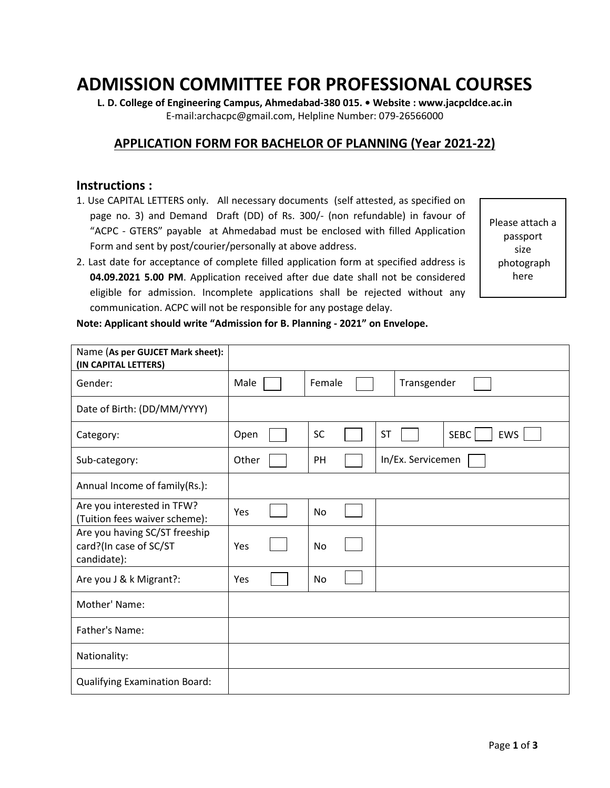## **ADMISSION COMMITTEE FOR PROFESSIONAL COURSES**

**L. D. College of Engineering Campus, Ahmedabad-380 015. • Website : www.jacpcldce.ac.in**  E-mail:archacpc@gmail.com, Helpline Number: 079-26566000

## **APPLICATION FORM FOR BACHELOR OF PLANNING (Year 2021-22)**

## **Instructions :**

- 1. Use CAPITAL LETTERS only. All necessary documents (self attested, as specified on page no. 3) and Demand Draft (DD) of Rs. 300/- (non refundable) in favour of "ACPC - GTERS" payable at Ahmedabad must be enclosed with filled Application Form and sent by post/courier/personally at above address.
- 2. Last date for acceptance of complete filled application form at specified address is **04.09.2021 5.00 PM**. Application received after due date shall not be considered eligible for admission. Incomplete applications shall be rejected without any communication. ACPC will not be responsible for any postage delay.

Please attach a passport size photograph here

| Note: Applicant should write "Admission for B. Planning - 2021" on Envelope. |  |  |  |
|------------------------------------------------------------------------------|--|--|--|
|------------------------------------------------------------------------------|--|--|--|

| Name (As per GUJCET Mark sheet):<br>(IN CAPITAL LETTERS)               |       |           |                                 |
|------------------------------------------------------------------------|-------|-----------|---------------------------------|
| Gender:                                                                | Male  | Female    | Transgender                     |
| Date of Birth: (DD/MM/YYYY)                                            |       |           |                                 |
| Category:                                                              | Open  | <b>SC</b> | EWS<br><b>ST</b><br><b>SEBC</b> |
| Sub-category:                                                          | Other | PH        | In/Ex. Servicemen               |
| Annual Income of family(Rs.):                                          |       |           |                                 |
| Are you interested in TFW?<br>(Tuition fees waiver scheme):            | Yes   | <b>No</b> |                                 |
| Are you having SC/ST freeship<br>card?(In case of SC/ST<br>candidate): | Yes   | No        |                                 |
| Are you J & k Migrant?:                                                | Yes   | <b>No</b> |                                 |
| Mother' Name:                                                          |       |           |                                 |
| Father's Name:                                                         |       |           |                                 |
| Nationality:                                                           |       |           |                                 |
| <b>Qualifying Examination Board:</b>                                   |       |           |                                 |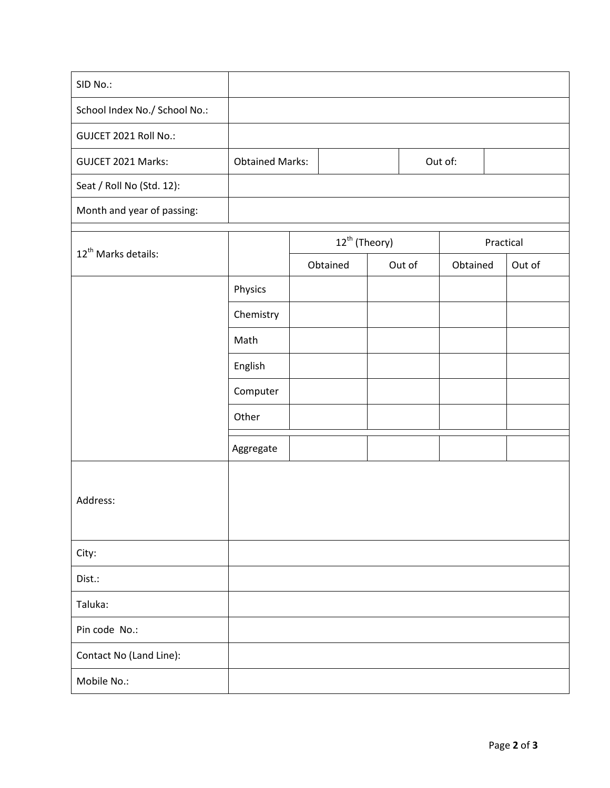| SID No.:                        |                        |                           |        |          |           |
|---------------------------------|------------------------|---------------------------|--------|----------|-----------|
| School Index No./ School No.:   |                        |                           |        |          |           |
| GUJCET 2021 Roll No.:           |                        |                           |        |          |           |
| GUJCET 2021 Marks:              | <b>Obtained Marks:</b> |                           |        | Out of:  |           |
| Seat / Roll No (Std. 12):       |                        |                           |        |          |           |
| Month and year of passing:      |                        |                           |        |          |           |
|                                 |                        | 12 <sup>th</sup> (Theory) |        |          | Practical |
| 12 <sup>th</sup> Marks details: |                        | Obtained                  | Out of | Obtained | Out of    |
|                                 | Physics                |                           |        |          |           |
|                                 | Chemistry              |                           |        |          |           |
|                                 | Math                   |                           |        |          |           |
|                                 | English                |                           |        |          |           |
|                                 | Computer               |                           |        |          |           |
|                                 | Other                  |                           |        |          |           |
|                                 | Aggregate              |                           |        |          |           |
|                                 |                        |                           |        |          |           |
| Address:                        |                        |                           |        |          |           |
|                                 |                        |                           |        |          |           |
| City:                           |                        |                           |        |          |           |
| Dist.:                          |                        |                           |        |          |           |
| Taluka:                         |                        |                           |        |          |           |
| Pin code No.:                   |                        |                           |        |          |           |
| Contact No (Land Line):         |                        |                           |        |          |           |
| Mobile No.:                     |                        |                           |        |          |           |